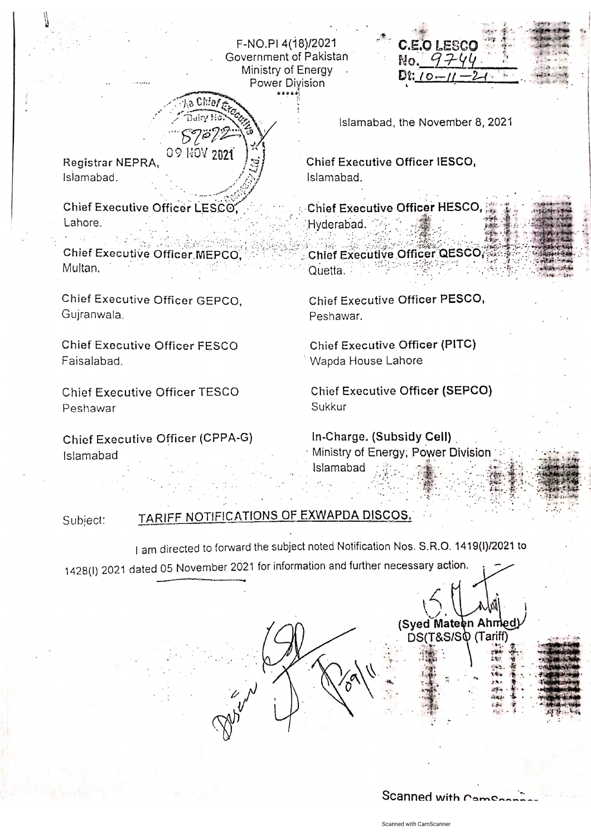F-NO.PI 4(18)/2021 Government of Pakistan Ministry of Energy Power Division

Registrar NEPRA, Islamabad.

Chief Executive Officer LESCO. Lahore.

Chios

09 NOV 2021

Chief Executive Officer MEPCO. Multan.

Chief Executive Officer GEPCO, Gujranwala.

Chief Executive Officer FESCO Faisalabad.

Chief Executive Officer TESCO Peshawar

Chief Executive Officer (CPPA-G) Islamabad

Islamabad, the November 8, 2021

**C.E.O LESCO** 

 $No. 970$ 

 $D\Omega$ : 10-

Chief Executive Officer IESCO. Islamabad.

Chief Executive Officer HESCO, Hyderabad.

Chief Executive Officer QESCO, Quetta.

Chief Executive Officer PESCO, Peshawar.

Chief Executive Officer (PITC) Wapda House Lahore

**Chief Executive Officer (SEPCO)** Sukkur

In-Charge. (Subsidy Cell) Ministry of Energy, Power Division Islamabad

TARIFF NOTIFICATIONS OF EXWAPDA DISCOS. Subject:

I am directed to forward the subject noted Notification Nos. S.R.O. 1419(I)/2021 to 1428(I) 2021 dated 05 November 2021 for information and further necessary action.

> (Syed Mateen Ahmed) DS(T&S/SQ (Tariff)

Scanned with Cames

Scanned with CamScanner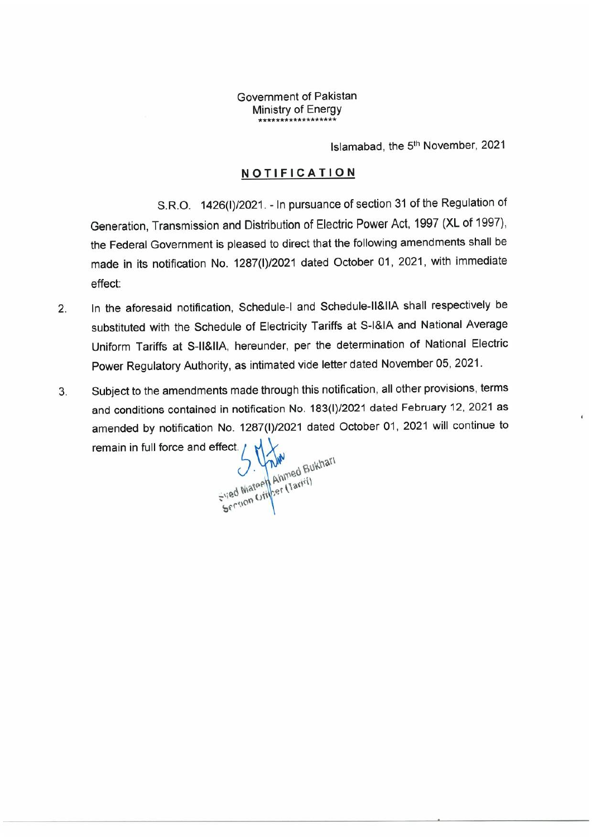## Government of Pakistan Ministry of Energy **\*\*\*\*\*\*\*\*\*\*\*\*\*\*\*\*\*\***

Islamabad, the 5th November, 2021

## **NOTIFICATION**

S.R.O. 1426(1)/2021.- In pursuance of section 31 of the Regulation of Generation, Transmission and Distribution of Electric Power Act, 1997 (XL of 1997), the Federal Government is pleased to direct that the following amendments shall be made in its notification No. 1287(1)/2021 dated October 01, 2021, with immediate effect:

- 2. In the aforesaid notification, Schedule-I and Schedule-II&IIA shall respectively be substituted with the Schedule of Electricity Tariffs at S-I&IA and National Average Uniform Tariffs at S-II&IIA, hereunder, per the determination of National Electric Power Regulatory Authority, as intimated vide letter dated November 05,2021.
- 3. Subject to the amendments made through this notification, all other provisions, terms and conditions contained in notification No. 183(I)/2021 dated February 12, 2021 as amended by notification No. 1287(1)/2021 dated October 01, 2021 will continue toremain in full force and effect.

Section Officer (Tariff)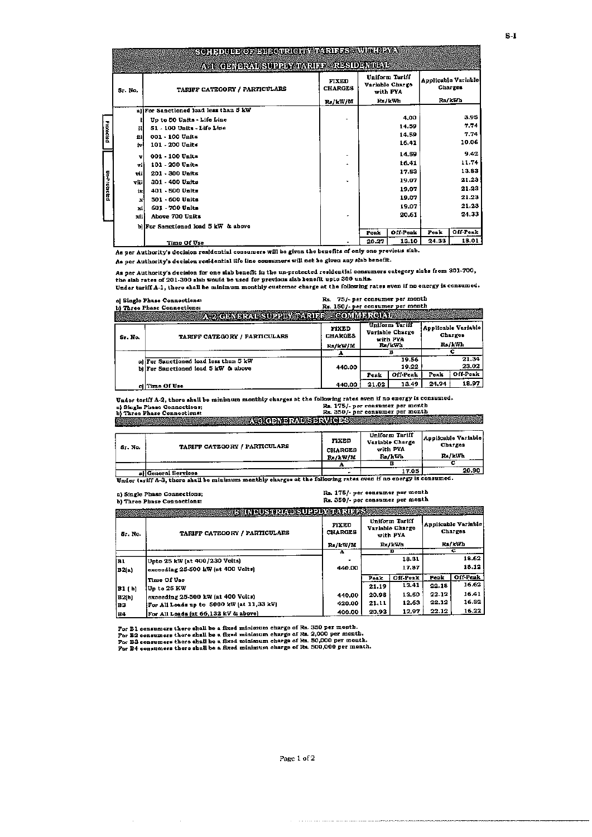|                  |         | есі і эпинжорлян сарасну разняк зауші паў |                                |       |                                               |       |                                |
|------------------|---------|-------------------------------------------|--------------------------------|-------|-----------------------------------------------|-------|--------------------------------|
|                  |         | ASI QENDRAVISURDI GIANRIDE RESIDENTIAL    |                                |       |                                               |       |                                |
|                  | Sr. No. | TARIFF CATEGORY / PARTICULARS             | <b>FIXED</b><br><b>CHARGES</b> |       | Uniform Teriff<br>Variable Charge<br>with PYA |       | Applicable Variable<br>Charges |
|                  |         |                                           | Rs/kW/M                        |       | Rs/kWh                                        |       | Ra/kWh                         |
|                  |         | allFor Sanctioned load less than S kW     |                                |       |                                               |       |                                |
|                  |         | Up to 50 Units - Life Line                |                                |       | 4,00                                          |       | 3.95                           |
| <b>Frotected</b> | u       | 51 - 100 Units - Life Line                |                                |       | 14.59                                         |       | 7.74                           |
|                  | 533     | 001 - 100 Units                           |                                |       | 14.59                                         |       | 7.74                           |
|                  | iv      | 101 - 200 Units                           |                                |       | 16.41                                         |       | 10.06                          |
|                  | v       | 001 - 100 Units                           | $\blacksquare$                 |       | 14.59                                         |       | 9.42                           |
|                  | ۰H      | 101 - 200 Units                           | ×.                             |       | 16.41                                         |       | 11.74                          |
|                  | vii     | 201 - 300 Units                           |                                |       | 17.53                                         |       | 13.83                          |
| Unfrotockd       | vill    | 301 - 400 Units                           | v                              |       | 19.07                                         |       | 21.23                          |
|                  | ix      | 401 - 500 Units                           |                                |       | 19.07                                         |       | 21.23                          |
|                  | ×       | 501 - 600 Units                           |                                |       | 19.07                                         |       | 21.23                          |
|                  | ×i      | 601 - 700 Units                           |                                |       | 19.07                                         |       | 21.23                          |
|                  | жЩ      | Above 700 Units                           | ٠                              |       | 20.61                                         |       | 24.33                          |
|                  |         | bliFor Sanctioned load 5 kW & above       |                                |       |                                               |       |                                |
|                  |         |                                           |                                | Poak  | Off-Peak                                      | Peak  | Off-Peak                       |
|                  |         | Time Of Use                               |                                | 20.27 | 13.10                                         | 24.33 | 18.01                          |

As per Authority's decision residential consumers will be given the benefits of only one previous siab.

As per Authority's decision residential life line consumers will not be given any slab benefit.

As per Authority's decision for one slab benefit in the un-protected residential consumers category slabs from 301-700,<br>the slab rates of 201-300 slab would be used for previous alab benefit upto 300 units.

Under tariff A-1, there shall be minimum monthly customer charge at the following rates sven if no energy is consumed.  $RE$  $\frac{1}{2}$  ... ...

|         | al Single Phase Connections:<br>b) Three Phase Connections:<br>4.2 GENERAL SUPPLY DARIER COMMERCIAL | ка. 757-рег социццег рег шопта<br>Rs. 150/- per consumer per month |       |                                                         |       |                                          |
|---------|-----------------------------------------------------------------------------------------------------|--------------------------------------------------------------------|-------|---------------------------------------------------------|-------|------------------------------------------|
| Sr. No. | TARIFF CATEGORY / PARTICULARS                                                                       | FIXED<br><b>CHARGES</b><br>Rs/kW/M                                 |       | Uniform Tariff<br>Variable Charge<br>with PYA<br>Rs/kWh |       | Applicable Variable<br>Charges<br>Rs/kWh |
|         |                                                                                                     |                                                                    |       |                                                         |       |                                          |
|         | aliFor Sanctioned load less than 5 kW<br>bl For Sanctioned load 5 kW & above                        | 440.00                                                             | Peak  | 19.56<br>19.22<br>Off-Peak                              | Peak  | 21.34<br>23.02<br>Off-Peak               |
|         | cilTime Of Use                                                                                      | 440.00                                                             | 21.02 | 13.49                                                   | 24,94 | 18.97                                    |

Under tariff A-2, there shall be minimum monthly charges at the following rates even if no energy is consumed.<br>a) Single Phase Connections:<br>b) Three Phase Connections:<br>b) Three Phase Connections: a) Single Phase Connections;<br>b) Three Phase Connections:

ASGENERALSERVICES AND ALLERY AND ALLERY AND ALLERY AND ALLERY AND ALLERY AND ALLERY AND ALLERY AND ALLERY AND ALLERY AND ALLERY AND ALLERY AND ALLERY AND ALLERY AND ALLERY AND ALLERY AND ALLERY AND ALLERY AND ALLERY AND AL

| Sr. No. | TARIFF CATEGORY / PARTICULARS | FIXED<br><b>CHARGES</b><br>Rs/kW/M | Uniform Tariff<br>Variable Charge<br>with PYA<br>Rs/kWh<br>---- | Applicable Variable<br>Charges<br>Ra/kWh |
|---------|-------------------------------|------------------------------------|-----------------------------------------------------------------|------------------------------------------|
|         |                               | . .                                |                                                                 |                                          |
|         | allGeneral Services.          | ۰                                  | 17.05                                                           | 20.90                                    |

Under tariff A-3, there shall be minimum monthly charges at the following rates even if no energy is consumed.

|              | a) Single Phase Connections;<br>b) Three Phase Connections: |                         | Rs. 175/- per consumer per month<br>Rs. 350/- per consumer per month |                                               |                                                                                                                                       |          |  |  |
|--------------|-------------------------------------------------------------|-------------------------|----------------------------------------------------------------------|-----------------------------------------------|---------------------------------------------------------------------------------------------------------------------------------------|----------|--|--|
|              | ES INDUSTRIAL SUPPLY TARIERS                                |                         |                                                                      |                                               |                                                                                                                                       |          |  |  |
| Sr. No.      | TARIFF CATEGORY / PARTICULARS                               | FIXED<br><b>CHARGES</b> |                                                                      | Uniform Tariff<br>Variable Charge<br>with PYA | Applicable Variable<br>Charges<br>c<br>18.31<br>17.87<br>Peak<br>13.41<br>22.18<br>22.12<br>13.50<br>22.12<br>12.63<br>22.12<br>12,97 |          |  |  |
|              |                                                             | Rs/kW/M                 |                                                                      | Rs/kWh                                        | Rs/kWh                                                                                                                                |          |  |  |
|              |                                                             |                         |                                                                      | в                                             |                                                                                                                                       |          |  |  |
| lB1          | Upto 25 kW (at 400/230 Volts)                               |                         |                                                                      |                                               |                                                                                                                                       | 18.62    |  |  |
| B2(a)        | exceeding 25-500 kW [at 400 Volts]                          | 440.00                  |                                                                      |                                               |                                                                                                                                       | 18.12    |  |  |
|              | Time Of Use                                                 |                         | Poak                                                                 | Off-Peak                                      |                                                                                                                                       | Off-Peak |  |  |
| B1 ( b)      | Up to 25 KW                                                 |                         | 21.19                                                                |                                               |                                                                                                                                       | 16.62    |  |  |
| <b>B2(b)</b> | exceeding 25-500 kW (at 400 Volts)                          | 440.00                  | 20.98                                                                |                                               |                                                                                                                                       | 16.41    |  |  |
| IB3.         | [For All Loads up to 5000 kW (at 11,33 kV)                  | 420.00                  | 21.11                                                                |                                               |                                                                                                                                       | 16.32    |  |  |
| IB4          | For All Loads (at 66,132 kV & above)                        | 400.00                  | 20.93                                                                |                                               |                                                                                                                                       | 16.22    |  |  |

 $\mathcal{L}^{\text{max}}(\mathcal{L}^{\text{max}})$  , where  $\mathcal{L}^{\text{max}}$ 

For B1 consumers there shall be a fixed minimum charge of Rs. 350 per month.<br>For B2 consumers there shall be a fixed minimum charge of Rs. 2,000 per month.<br>For B3 consumers there shall be a fixed minimum charge of Rs. 50,0

 $\label{eq:1} \begin{minipage}{0.9\linewidth} \begin{minipage}{0.9\linewidth} \begin{minipage}{0.9\linewidth} \begin{minipage}{0.9\linewidth} \end{minipage} \begin{minipage}{0.9\linewidth} \begin{minipage}{0.9\linewidth} \end{minipage} \begin{minipage}{0.9\linewidth} \begin{minipage}{0.9\linewidth} \end{minipage} \begin{minipage}{0.9\linewidth} \end{minipage} \begin{minipage}{0.9\linewidth} \begin{minipage}{0.9\linewidth} \end{minipage} \begin{minipage}{0.9\linewidth} \end{minipage} \begin{minipage}{0.9\linewidth} \begin$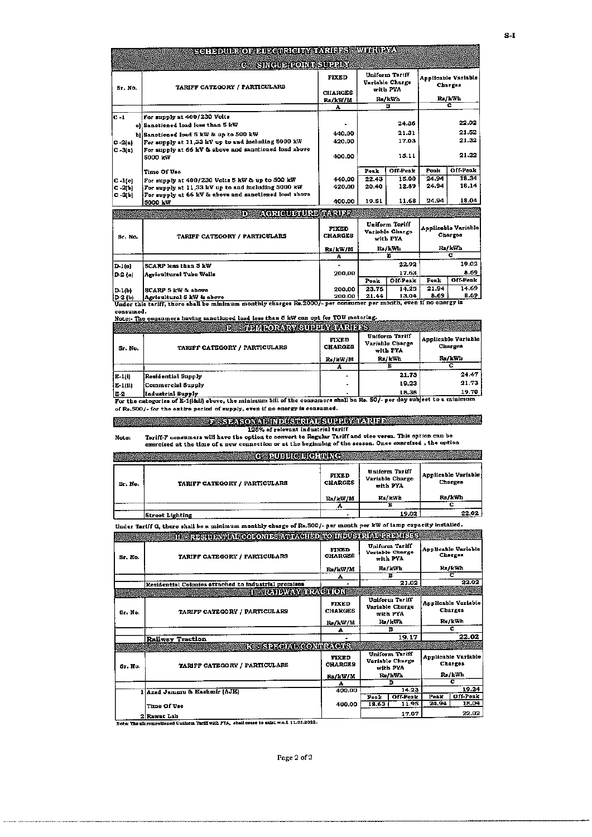|              | SCHEDULE OF ELECTRICITY IN RINES AWILITY IN                      |                                |                                               |                                   |                                |                                |
|--------------|------------------------------------------------------------------|--------------------------------|-----------------------------------------------|-----------------------------------|--------------------------------|--------------------------------|
|              | G - SINGUE TOINT SUPPLY                                          |                                |                                               |                                   |                                |                                |
|              | TARIFF CATEGORY / PARTICULARS                                    | <b>FIXED</b>                   |                                               | Uniform Tariff<br>Variable Charge |                                | Applicable Variable<br>Charges |
| Sr. No.      |                                                                  | <b>CHARGES</b>                 |                                               | with PYA                          |                                |                                |
|              |                                                                  | Rs/kW/M                        |                                               | Rs/kWh                            |                                | Rs/kWh                         |
|              |                                                                  | A                              |                                               | Ħ                                 |                                | е                              |
| $c - 1$      | For supply at 400/230 Volts                                      |                                |                                               |                                   |                                |                                |
|              | al Sanctioned load less than 5 kW                                |                                |                                               | 24.36                             |                                | 22.02                          |
|              | b) Sanctioned load 5 kW & up to 500 kW                           | 440.00                         |                                               | 21.31                             |                                | 21.52                          |
| $C-2 a $     | For supply at 11,33 kV up to and including 5000 kW               | 420.00                         |                                               | 17.03                             |                                | 21.32                          |
| $ C - 3 $ a) | For supply at 66 kV & above and sanctioned load above<br>5000 kW | 400.00                         | 15.11                                         |                                   |                                | 21.22                          |
|              | Time Of Use                                                      |                                | Peak                                          | Off-Peak                          | Poak                           | Off Peak                       |
| $C - 1(c)$   | For supply at 400/230 Volts 5 kW & up to 500 kW                  | 440.00                         | 22.43                                         | 15.00                             | 24.94                          | 18.34                          |
| $C - 2(b)$   | For supply at 11,33 kV up to and including 5000 kW               | 420.00                         | 20.40                                         | 12.89                             | 24.94                          | 18,14                          |
| $C = 3(b)$   | For supply at 66 kV & above and sanctioned load above            |                                |                                               |                                   |                                |                                |
|              | 5000 kW                                                          | 400.00                         | 19.51                                         | 11.68                             | 24.94                          | 18.04                          |
|              | <b>AGRICULTURE TARIEE</b><br>រាង                                 |                                |                                               |                                   |                                |                                |
| Sr. No.      | TARIFF CATEGORY / PARTICULARS                                    | <b>FIXED</b><br><b>CHARGES</b> | Uniform Tariff<br>Variable Charge<br>with PYA |                                   | Applicable Variable<br>Charges |                                |
|              |                                                                  | Rs/kW/M                        |                                               | Ra/kWh                            |                                | Ra/kWh                         |
|              |                                                                  | A                              |                                               | B                                 |                                | $\overline{\mathbf{c}}$        |
| $D-1(a)$     | SCARP less than 5 kW                                             |                                |                                               | 22.92                             |                                | 19.02                          |
| D-2 (a)      | Agricultural Tube Wells                                          | 200.00                         |                                               | 17.63                             |                                | 8.69                           |
|              |                                                                  |                                | Peak                                          | Off Peak                          | Peak                           | Off-Peak                       |
| D-1(b)       | <b>SCARP 5 kW &amp; above</b>                                    | 200.00                         | 23.76                                         | 14.25                             | 21.94                          | 14.69                          |
| D-2 (b)      | Agricultural 5 kW & above                                        | 200.00                         | 21.44                                         | 13.04                             | 8.69                           | 8.69                           |

**conaumed.**

|            | Noter-The consumers having sanctioned load less than 5 kW can opt for TOU metering.                                   |                         |                                               |                                |
|------------|-----------------------------------------------------------------------------------------------------------------------|-------------------------|-----------------------------------------------|--------------------------------|
|            | <b>BE PRIMPORARY SUPPLY IMPORTS</b>                                                                                   |                         |                                               |                                |
| Sr. No.    | TARIFF CATEGORY / PARTICULARS                                                                                         | FIXED<br><b>CHARGES</b> | Uniform Tariff<br>Variable Charge<br>with PYA | Applicable Variable<br>Charges |
|            |                                                                                                                       | Rs/kW/M                 | Rs/kWh                                        | Ra/kWh                         |
|            |                                                                                                                       |                         |                                               |                                |
| $ E-1(1) $ | Residential Supply                                                                                                    |                         | 21.73                                         | 24.47                          |
| E-1(11)    | Commercial Supply                                                                                                     |                         | 19.23                                         | 21.73                          |
| 1E-2       | Industrial Supply                                                                                                     |                         | 18.38                                         | 19.70                          |
|            | For the categories of E-1(iⅈ) above, the minimum bill of the consumers shall be Rs. 50/- per day subject to a minimum |                         |                                               |                                |

**o( Ra.500/- (or the entire period o( .upply, even i( no energy i. con.umed.**

F - SEASONAL INDUSTRIAL SUPPLY TARIFF

125% of relevant industrial tariff<br>Note: Tariff-F consumera will have the option onvert to Regular Tariff and vice versa. This option can be<br>exercised at the time of a now connection or at the beginning of the seaso

|         | <b>CARGO</b>                  |                                |                                               |                                       |
|---------|-------------------------------|--------------------------------|-----------------------------------------------|---------------------------------------|
| Sr. No. | TARIFF CATEGORY / PARTICULARS | <b>FIXED</b><br><b>CHARGES</b> | Uniform Tariff<br>Variable Charge<br>with PYA | Applicable Variable<br><b>Charges</b> |
|         |                               | Rs/kW/M                        | Rs/kWh                                        | Rs/kWh                                |
|         |                               |                                |                                               |                                       |
|         | <b>Street Lighting</b>        |                                | 19.02                                         | 22.02                                 |

Under Tariff G, there shall be a minimum monthly charge of Rs.500/- per month per kW of lamp capacity installed.<br>The Stephen Republikation of the Stephen Republic Contract Stephen Republic Stephen Republic Stephen Stephen

|         | SING RESODELIZING OKEN IESZVIET BEZIEGZI TELES BRIZI ETREPI ISSZ                          |                                |       |                                                                                 |                                | <b>WEIGHT COMMUNIST STATE</b> |
|---------|-------------------------------------------------------------------------------------------|--------------------------------|-------|---------------------------------------------------------------------------------|--------------------------------|-------------------------------|
| Sr. No. | <b>CHARGES</b><br>TARIFF CATEGORY / PARTICULARS                                           |                                |       | Uniform Tariff<br>Variable Charge<br>with PYA                                   | Annilcable Variable<br>Charges |                               |
|         |                                                                                           | Rs/kW/M                        |       | Ra/kWh                                                                          |                                | Rs/kWh                        |
|         |                                                                                           | A                              |       | в                                                                               |                                | с                             |
|         | Residential Colonies attached to industrial premises                                      |                                |       | 21.02                                                                           |                                | 22.02                         |
|         | <b>TEST ZAMAWAY TRAXEDIONI</b>                                                            |                                |       |                                                                                 |                                |                               |
| Sr. No. | TARIFF CATEGORY / PARTICULARS                                                             | <b>FIXED</b><br><b>CHARGES</b> |       | Uniform Tariff<br>Variable Churge<br>with PYA                                   | Applicable Variable<br>Charges |                               |
|         |                                                                                           | Ra/kW/M                        |       | Rs/kWh                                                                          | Rs/kWh                         |                               |
|         |                                                                                           | А                              |       | в                                                                               | с                              |                               |
|         | <b>Railway Traction</b>                                                                   |                                |       | 19.17                                                                           | 22.02                          |                               |
|         | Ke SDSOLVGONDRAGIES                                                                       |                                |       |                                                                                 |                                |                               |
| Sr. No. | TARIFF CATEGORY / PARTICULARS                                                             | <b>FIXED</b><br><b>CHARGES</b> |       | Uniform Tarlff<br>Applicable Variable<br>Variable Charge<br>Charges<br>with PYA |                                |                               |
|         |                                                                                           | Rs/kW/M                        |       | Rs/kWh                                                                          |                                | Rs/kWh                        |
|         |                                                                                           | А                              |       | в                                                                               |                                | с                             |
|         | 1 Azad Jammu & Kashmir (AJK)                                                              | 400.00                         |       | 14.23                                                                           |                                | 19.24                         |
|         |                                                                                           |                                | Peak  | Off-Peak                                                                        | Peak                           | Off-Peak                      |
|         | Time Of Use                                                                               | 400.00                         | 18.63 | 11,95                                                                           | 24.94                          | 18.04                         |
|         | 2 Rawat Lab                                                                               |                                |       | 17.07                                                                           |                                | 22.02                         |
|         | Note: The aforementinged Uniform Tariff with PTA, shall cease to exist w.e.f. 11.02.2022. |                                |       |                                                                                 |                                |                               |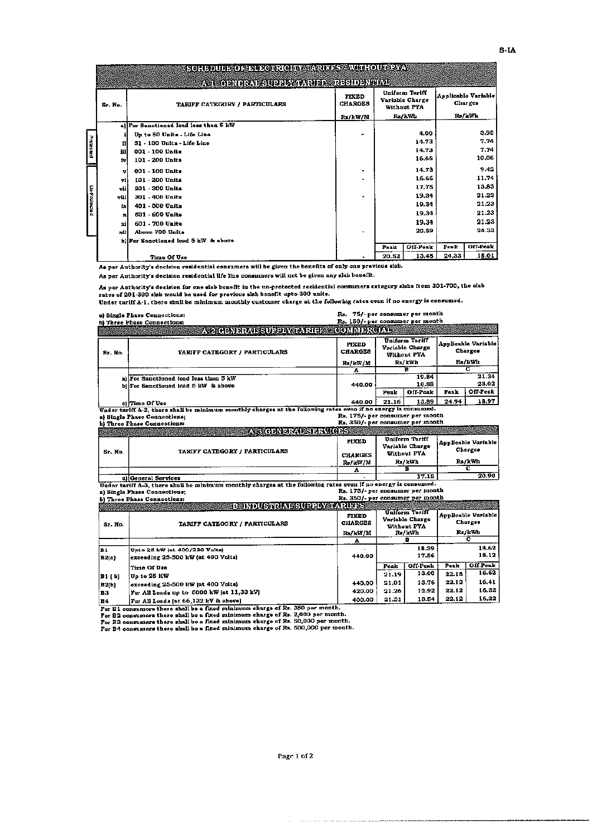|              |              | SOHDDURSO SOHTGARICHYMNRUDS AWNI (OURSYN    |                                |       |                                                  |       |                                |
|--------------|--------------|---------------------------------------------|--------------------------------|-------|--------------------------------------------------|-------|--------------------------------|
|              |              | <u>AST ADMORAL SUPPLY WARDS - RESIDENCE</u> |                                |       |                                                  |       |                                |
|              | Sr. No.      | TARIFF CATEGORY / PARTICULARS               | <b>FIXED</b><br><b>CHARGES</b> |       | Uniform Tariff<br>Variable Charge<br>Without PYA |       | Applicable Variable<br>Charges |
|              |              |                                             | Rx/kW/M                        |       | Rs/kWh                                           |       | Rs/kWh                         |
|              |              | al For Sanctioned load less than 5 kW       |                                |       |                                                  |       |                                |
|              |              | Up to 50 Units - Life Line                  |                                |       | 4.00                                             |       | 3.95                           |
| Protected    | н            | 51 - 100 Units - Life Line                  |                                |       | 14.73                                            |       | 7.74                           |
|              | Ш            | $001 - 100$ Units                           |                                |       | 14.73                                            |       | 7.74                           |
|              | 1v.          | 101 - 200 Units                             |                                |       | 16,66                                            |       | 10,06                          |
|              | v            | 001 - 100 Units                             | -                              |       | 14.73                                            |       | 9.42                           |
|              | vi           | 101 - 200 Units                             | $\blacksquare$                 |       | 16.66                                            |       | 11.74                          |
|              | vli          | 201 - 300 Units                             |                                |       | 17,75                                            |       | 13,83                          |
| Un-Protectad | vili         | 301 - 400 Units                             | ٠                              |       | 19.34                                            |       | 21.23                          |
|              | iх           | 401 - 500 Units                             |                                |       | 19.34                                            |       | 21.23                          |
|              | $\mathbf{x}$ | 501 - 600 Units                             |                                |       | 19.34                                            |       | 21.23                          |
|              | зđ           | 601 - 700 Units                             |                                |       | 19,34                                            |       | 21.23                          |
|              | иH           | Above 700 Units                             |                                |       | 20.89                                            |       | 24.33                          |
|              |              | b) For Sanctioned load 5 kW & abuve         |                                |       |                                                  |       |                                |
|              |              |                                             |                                | Posk  | Off-Peak                                         | Posk  | Off-Peak                       |
|              |              | Time Of Use                                 |                                | 20.52 | 13.45                                            | 24,33 | 18.01                          |

As per Authority's decision residential consumers will be given the henefits of only one previous siab.

As per Authority's decision residential life line consumers will not be given any slab benefit.

As per Authority's decision for one siab benefit in the un-protected residential consumers category slabs from 301-700, the siab<br>rates of 201-300 slab would be used for previous slab benefit upto 300 units.<br>Under tariff A-

|         | a) Single Phase Connections:                                                                                   | Rs. 75/- per consumer per month    |       |                                                            |                                          |                     |
|---------|----------------------------------------------------------------------------------------------------------------|------------------------------------|-------|------------------------------------------------------------|------------------------------------------|---------------------|
|         | b) Three Phase Connections:<br><b>A-2 GENERAL SUPPLY TARIFF - COMMERCIAL</b>                                   | Rs. 150/- per consumer per month   |       |                                                            |                                          |                     |
| Sr. No. | TARIFF CATEGORY / PARTICULARS                                                                                  | FIXED<br><b>CHARGES</b><br>Rs/kW/M |       | Uniform Tariff<br>Variable Charge<br>Without PYA<br>Rs/kWh | Applicable Variable<br>Charges<br>Rs/kWh |                     |
|         |                                                                                                                | А                                  |       | в                                                          |                                          | c                   |
|         | a) For Sanctioned foad less than 5 kW<br>bliFor Sanctioned load 5 kW & above                                   | 440.00                             |       | 19.84<br>16.88                                             |                                          | 21.34<br>23.02      |
|         |                                                                                                                |                                    | Peak  | Off-Poak                                                   | Peak                                     | Off-Peak            |
|         | cli Time Of Use                                                                                                | 440.00                             | 21.16 | 13.89                                                      | 24.94                                    | 18.97               |
|         | Under tariff A-2, there shall be minimum monthly charges at the following rates even if no energy is consumed. |                                    |       |                                                            |                                          |                     |
|         | a) Single Phase Connections;                                                                                   | Rs. 175/- per consumer per month   |       |                                                            |                                          |                     |
|         | b) Three Phase Connections:                                                                                    | Rs. 350/- per consumer per month   |       |                                                            |                                          |                     |
|         | Attenden Branden (1965)                                                                                        |                                    |       |                                                            |                                          |                     |
|         |                                                                                                                | FIXED                              |       | Uniform Tariff<br>Variable Charge                          |                                          | Applicable Variable |
| Sr. No. | TARIFF CATEGORY / PARTICULARS                                                                                  | <b>CHARGES</b>                     |       | Without PYA                                                |                                          | Charges             |
|         |                                                                                                                | Rs/kW/M                            |       | Rs/kWh                                                     |                                          | Rs/kWh              |
|         |                                                                                                                | A                                  |       | в                                                          |                                          | с                   |
|         | allGeneral Services                                                                                            |                                    |       | 17.15                                                      |                                          | 20.90               |

a a different Services<br>
Under tariff A-3, there shall be minimum monthly charges at the following rates even if no energy is consumed.<br>
a) Single Phase Connections:<br>
b) Three Phase Connections:<br>
b) Three Phase Connections:

 $\ddot{\phantom{a}}$ 

|                                          | al Thigh Lugge Councellong'                   |                         |       |                                                  |                                |                 |  |
|------------------------------------------|-----------------------------------------------|-------------------------|-------|--------------------------------------------------|--------------------------------|-----------------|--|
|                                          | <b>EXAMPLE INDUSTRIATE SUPPLY AT ARTICLES</b> |                         |       |                                                  |                                |                 |  |
| TARIFF CATEGORY / PARTICULARS<br>Sr. No. |                                               | FIXED<br><b>CHARGES</b> |       | Uniform Teriff<br>Variable Charge<br>Without PYA | Applicable Variable<br>Charges |                 |  |
|                                          |                                               | Rs/kW/M                 |       | Rs/kWh                                           |                                | Rs/kWh          |  |
|                                          |                                               |                         |       |                                                  |                                |                 |  |
| lB1.                                     | Upto 25 kW jst 400/230 Volts)                 |                         |       | 18.39                                            |                                | 18,62           |  |
| B2(a)                                    | exceeding 25-500 kW (at 400 Volts)            | 440.00                  |       | 17.56                                            |                                | 18.12           |  |
|                                          | Time Of Use                                   |                         | Peak  | Off-Peak                                         | Peak                           | <b>Off-Peak</b> |  |
| B1 ( b)                                  | Up to 25 KW                                   |                         | 21.19 | 13.60                                            | 22.18                          | 16.62           |  |
| B2(b)                                    | exceeding 25-500 kW  at 400 Volts}            | 440.00                  | 21.01 | 13.76                                            | 22.12                          | 16.41           |  |
| івз                                      | For All Loads up to 5000 kW [at 11,33 kV]     | 420.00                  | 21.26 | 12.92                                            | 22.12                          | 16.32           |  |
| lB4                                      | For All Loads (at 66,132 kV & above)          | 400.00                  | 21.31 | 13.54                                            | 22.12                          | 16,22           |  |

Eq. (For All Loads |at 66,132 kV & above)<br>
For B1 consumers there shall be a fixed minimum charge of Rs. 350 per month.<br>
For B2 consumers there shall be a fixed minimum charge of Rs. 2,000 per month.<br>
For B3 consumers the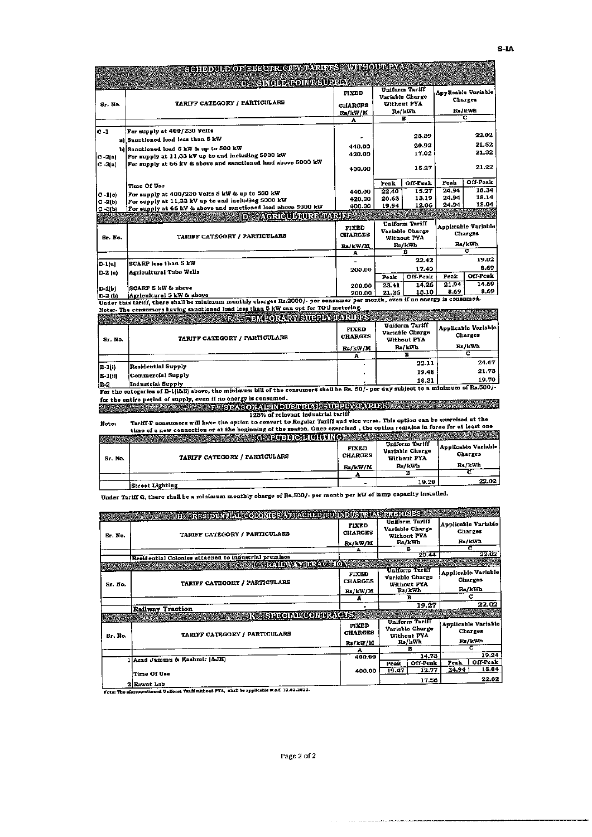|             | SCHDDUB SOS BIJGHROEF ARREST TELEVISION I AZ                                                                               |                  |                                       |                                   |         |                                       |  |  |  |       |  |
|-------------|----------------------------------------------------------------------------------------------------------------------------|------------------|---------------------------------------|-----------------------------------|---------|---------------------------------------|--|--|--|-------|--|
|             | G SREPLORATOR SURFA                                                                                                        |                  |                                       |                                   |         |                                       |  |  |  |       |  |
|             |                                                                                                                            | <b>FIXED</b>     |                                       | Uniform Tariff<br>Variable Charge |         | Applicable Variable<br><b>Charges</b> |  |  |  |       |  |
| Sr. No.     | TARIFF CATEGORY / PARTICULARS                                                                                              | <b>CHARGES</b>   |                                       | Without PYA                       |         | R./kWh                                |  |  |  |       |  |
|             |                                                                                                                            | Rs/kW/M          |                                       | Rs/kWh<br>в                       |         | c                                     |  |  |  |       |  |
|             |                                                                                                                            | A                |                                       |                                   |         |                                       |  |  |  |       |  |
| lc -1       | For supply at 400/230 Volts                                                                                                |                  |                                       |                                   |         | 22.02                                 |  |  |  |       |  |
|             | al Sauctioned load less than 5 kW                                                                                          |                  |                                       | 23.39                             |         |                                       |  |  |  |       |  |
|             | b) Sanctioned load 5 kW & up to 500 kW                                                                                     | 440.00           |                                       | 20.93                             |         | 21.52                                 |  |  |  |       |  |
| $ C - 2 n $ | For supply at 11,33 kV up to and including 5000 kW                                                                         | 420.00           |                                       | 17.02                             |         | 21.32                                 |  |  |  |       |  |
| $C - 3(a)$  | For supply at 66 kV & above and sanctioned lead above 5000 kW                                                              | 400.00           | 15.27                                 |                                   |         |                                       |  |  |  | 21,22 |  |
|             |                                                                                                                            |                  |                                       | Off-Peak                          | Peak    | Off-Peak                              |  |  |  |       |  |
|             | Time Of Use                                                                                                                |                  | Peak                                  |                                   | 24.94   | 18.34                                 |  |  |  |       |  |
| $C - 1(0)$  | For supply at 400/230 Volts 5 kW & up to 500 kW                                                                            | 440.00           | 22.40<br>20.63                        | 15.27<br>13.19                    | 24.94   | 18.14                                 |  |  |  |       |  |
| $C - 2(b)$  | For supply at 11,33 kV up to and including 5000 kW                                                                         | 420.00<br>400.00 | 19.94                                 | 12.06                             | 24.94   | 18.04                                 |  |  |  |       |  |
| $C - 3(b)$  | For supply at 66 kV & above and sanctioned load above 5000 kW                                                              |                  |                                       |                                   |         |                                       |  |  |  |       |  |
|             | <u>Agriculturu de onder</u><br>市際隊                                                                                         |                  |                                       |                                   |         |                                       |  |  |  |       |  |
|             |                                                                                                                            | FIXED            |                                       | Uniform Tariff                    |         | Applicable Variable                   |  |  |  |       |  |
| Sr. No.     | TARIFF CATEGORY / PARTICULARS                                                                                              | <b>CHARGES</b>   | Variable Charge<br><b>Without PYA</b> |                                   | Charges |                                       |  |  |  |       |  |
|             |                                                                                                                            | Re/kW/M          |                                       | Ra/kWh                            |         | Rs/kWh                                |  |  |  |       |  |
|             |                                                                                                                            | А                |                                       | в                                 |         | ਟ                                     |  |  |  |       |  |
| $D-1(n)$    | SCARP less than S kW                                                                                                       |                  |                                       | 22.42                             |         | 19.02                                 |  |  |  |       |  |
| D-2 (a)     | Agricultural Tube Wells                                                                                                    | 200.00           |                                       | 17.40                             |         | 8.69                                  |  |  |  |       |  |
|             |                                                                                                                            |                  | Peak                                  | Off-Peak                          | Poak    | Off-Peak                              |  |  |  |       |  |
| D-1(b)      | <b>SCARP 5 kW &amp; above</b>                                                                                              | 200.00           | 23.41                                 | 14.26                             | 21.94   | 14.69                                 |  |  |  |       |  |
| D-2 (b)     | Agricultural S kW & above                                                                                                  | 200.00           | 21.26                                 | 13.10                             | 8.69    | 8.69                                  |  |  |  |       |  |
|             | Under this tariff, there shall be minimum monthly charges Rs.2000/- per consumer per month, even if no energy is consumed. |                  |                                       |                                   |         |                                       |  |  |  |       |  |
|             | Noter-The consumers having sanctioned load less than 5 kW can opt for TOU metering.                                        |                  |                                       |                                   |         |                                       |  |  |  |       |  |
|             | <b>STERN CORALISTS UP DE COAVELERS</b><br>行題                                                                               |                  |                                       |                                   |         |                                       |  |  |  |       |  |
|             |                                                                                                                            |                  |                                       | $-100$                            |         |                                       |  |  |  |       |  |

| Sr. No. | 1974 - 1985 - 1987 - 1988 - 1989 - 1989 - 1989 - 1989 - 1989 - 1989 - 1989 - 1989 - 1989 - 1989 - 1989 - 1989 - 1989 - 1989 - 1989 - 1989 - 1989 - 1989 - 1989 - 1989 - 1989 - 1989 - 1989 - 1989 - 1989 - 1989 - 1989 - 1989<br>TARIFF CATEGORY / PARTICULARS | <b>FIXED</b><br><b>CHARGES</b><br>Rs/kW/M | Uniform Tariff<br>Variable Charge<br>Without PYA<br>Ra/kWh | <b>Applicable Variable</b><br>Charges<br>Rs/kWh |
|---------|----------------------------------------------------------------------------------------------------------------------------------------------------------------------------------------------------------------------------------------------------------------|-------------------------------------------|------------------------------------------------------------|-------------------------------------------------|
|         |                                                                                                                                                                                                                                                                |                                           |                                                            |                                                 |
| E-1[i)  | Residential Supply                                                                                                                                                                                                                                             |                                           | 22.11                                                      | 24.47                                           |
|         |                                                                                                                                                                                                                                                                |                                           | 19.48                                                      | 21.73                                           |
| E-1(ii) | Commercial Supply                                                                                                                                                                                                                                              |                                           |                                                            | 19.70                                           |
| E 2     | Industrial Supply                                                                                                                                                                                                                                              |                                           | 18.31                                                      |                                                 |
| - -     | the first of P 1112.13 change the minimum hill of the consumers shall be Rs. 50/- per day subject to a minimum of Rs.500/-                                                                                                                                     |                                           |                                                            |                                                 |

For the categories of E-1|(bii) above, the minimum bill of the consumers shall be Rs. 50/- per day subject to a minimum of Rs. 6000<br>for the entire period of supply, even if no energy is consumed.<br>[1257] of the entire perio

| Note:   | Tariff-F consumers will have the option to convert to Regular Tariff and vice versa. This option can be exercised at the<br>time of a new connection or at the beginning of the season. Once exercised, the option remains in force for at least one |                         |                                |                                        |
|---------|------------------------------------------------------------------------------------------------------------------------------------------------------------------------------------------------------------------------------------------------------|-------------------------|--------------------------------|----------------------------------------|
|         | <b>CE PUBLIC BIGHTING</b>                                                                                                                                                                                                                            |                         | Uniform Tariff                 |                                        |
| Sr. No. | TARIFF CATEGORY / PARTICULARS                                                                                                                                                                                                                        | FIXED<br><b>CHARGES</b> | Variable Charge<br>Without PYA | <b>Applicable Variable:</b><br>Charges |
|         |                                                                                                                                                                                                                                                      | Rs/kW/M                 | Rs/kWh                         | Rs/kWh                                 |
|         |                                                                                                                                                                                                                                                      |                         |                                |                                        |

Street Lighting 22.02 Under Tariff G, there sball be a minimum monthly charge of *Rs.500/-* per month per kW of lamp capacity in.talled.

|         | H - RESIDENTIAL COLONIES ARTACHED TO INDUSTRIAL PREMISES |                                |           |                                                  |                                |                                       |  |
|---------|----------------------------------------------------------|--------------------------------|-----------|--------------------------------------------------|--------------------------------|---------------------------------------|--|
| Sr. No. | TARIFF CATEGORY / PARTICULARS                            | <b>FIXED</b><br><b>CHARGES</b> |           | Uniform Tariff<br>Variable Charge<br>Without PYA |                                | Applicable Variable<br><b>Charges</b> |  |
|         |                                                          | Re/kW/M                        |           | Rs/kWh                                           | Rs/kWh<br>C.                   |                                       |  |
|         |                                                          | A                              |           | R                                                |                                | 22.02                                 |  |
|         | Residential Colonies attached to industrial premises     |                                |           | 20.44                                            |                                |                                       |  |
|         | <b>JESTRATIAWAY TRACTIONS</b>                            |                                |           |                                                  |                                |                                       |  |
| Sr. No. | TARIFF CATEGORY / PARTICULARS                            | <b>FIXED</b><br><b>CHARGES</b> |           | Uniform Tariff<br>Variable Charge<br>Without FYA | Applicable Variable<br>Charges |                                       |  |
|         |                                                          | Rs/kW/M                        | $R_3/kWh$ |                                                  | Ra/kWh                         |                                       |  |
|         |                                                          | А                              | в         |                                                  | c.                             |                                       |  |
|         | <b>Railway Traction</b>                                  |                                |           | 19.27                                            |                                | 22.02                                 |  |
|         | <b>K SPECIAL CONDRACTS:</b>                              |                                |           |                                                  |                                |                                       |  |
| Sr. No. | TARIFF CATEGORY / PARTICULARS                            | <b>FIXED</b><br><b>CHARGES</b> |           | Uniform Tariff<br>Variable Charge<br>Without PYA |                                | Applicable Variable<br><b>Charges</b> |  |
|         |                                                          | $R*/kW/M$                      | Rs/kWh    |                                                  | Rs/kWh                         |                                       |  |
|         |                                                          | A                              |           | в                                                |                                | с                                     |  |
|         | 1 Agad Jammu & Kashmir (AJK)                             | 400.00                         |           | 14.73                                            |                                | 19.24                                 |  |
|         |                                                          |                                | Poak      | Off-Peak                                         | <b>Peak</b>                    | Off Feak                              |  |
|         | Time Of Use                                              | 400.00                         | 19.47     | 12.77                                            | 24.94                          | 18.04                                 |  |
|         | 2 Rawat Lab                                              |                                |           | 17.56                                            |                                | 22.02                                 |  |

2 Rawat Lab<br>Note: The aforementioned Uniform Turki without PYA, shall be applicaMe w.c.d. 12.02.202

 $\label{eq:1} \begin{array}{ll} \mathcal{L}_{\text{max}} & \mathcal{L}_{\text{max}} & \mathcal{L}_{\text{max}} & \mathcal{L}_{\text{max}} \\ \mathcal{L}_{\text{max}} & \mathcal{L}_{\text{max}} & \mathcal{L}_{\text{max}} & \mathcal{L}_{\text{max}} \\ \mathcal{L}_{\text{max}} & \mathcal{L}_{\text{max}} & \mathcal{L}_{\text{max}} & \mathcal{L}_{\text{max}} \\ \mathcal{L}_{\text{max}} & \mathcal{L}_{\text{max}} & \mathcal{L}_{\text{max}} & \mathcal{L}_{\text{max}} \\ \mathcal{L}_{\text{max}} & \math$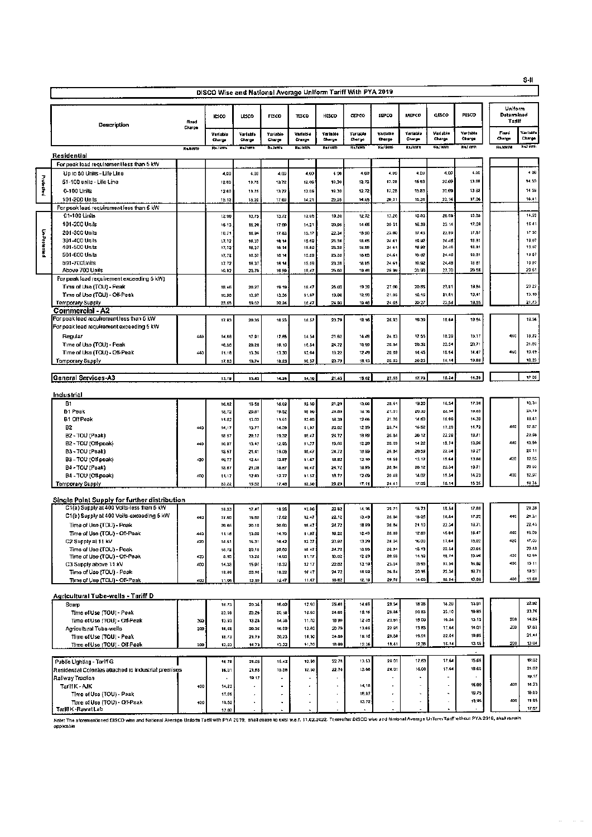|           |                                                                         |                 |                    |                    | DISCO Wise and National Average Uniform Tariff With PYA 2019 |                          |                    |                    |                    |                    |                          |                    |                  |                                 |                    |
|-----------|-------------------------------------------------------------------------|-----------------|--------------------|--------------------|--------------------------------------------------------------|--------------------------|--------------------|--------------------|--------------------|--------------------|--------------------------|--------------------|------------------|---------------------------------|--------------------|
|           | Description                                                             | Fixed<br>Charge | <b>IESCO</b>       | <b>LESCO</b>       | FESCO                                                        | TESCO                    | HESCO              | GEPCO              | SEPCO              | MEPCO              | QESCO                    | PESCO              |                  | Uniform<br>Datennined<br>Tariff |                    |
|           |                                                                         |                 | Verlable<br>Charge | Variable<br>Charge | Variable<br>Charge                                           | Variable<br>Charge       | Variable<br>Churge | Variable<br>Charge | Variable<br>Charge | Variable<br>Charge | Variable<br>Charge       | Varjabla<br>Charge | Fliced<br>Chatge |                                 | Variable<br>Charge |
|           |                                                                         | RUMWIN          | <b>Rui kith</b>    | Raistra            | Razenth                                                      | <b>Realists</b>          | RadkWih            | Raftwn             | <b>Ru kwi</b>      | Rutkin             | <b>Raf Myh</b>           | <b>RIJ WYN</b>     | <b>SAMWIN</b>    |                                 | <b>RETWWW</b>      |
|           | Residential<br>For peak load requirement less than 5 kW                 |                 |                    |                    |                                                              |                          |                    |                    |                    |                    |                          |                    |                  |                                 |                    |
|           | Up to 50 Units - Life Line                                              |                 | 4,00               | 4.00               | 4.00                                                         | 4.00                     | 400                | 4,09               | 4.DD               | 4.00               | 4.00                     | 4.00               |                  |                                 | 4.02               |
| Protected | 51-100 units - Life Line                                                |                 | 12.00              | 13.75              | 13.72                                                        | 12.06                    | 19.30              | 12.72              | 17.28              | 15 83              | 20.69                    | 13.88              |                  |                                 | 14.59              |
|           | 0-100 Units                                                             |                 | 12.00              | 13.75              | 13.72                                                        | 12.DE                    | 18.30              | 12,72              | 17.28              | 15.83              | 20.69                    | 1388               |                  |                                 | 14 59              |
|           | 101-200 Units                                                           |                 | 15.13              | 15.20              | 17.09                                                        | 14.21                    | 20.95              | 14,65              | 20,31              | 16,36              | 23.14                    | 17.06              |                  |                                 | 16.41              |
|           | For peak load requirement less than 5 kW                                |                 |                    |                    |                                                              |                          |                    |                    |                    |                    |                          |                    |                  |                                 |                    |
|           | 01-100 Units<br>101-200 Units                                           |                 | 12.00              | 13,75              | 13.77                                                        | 12.06                    | 19.30              | 12.72              | 17.28              | 15.83              | 20.89                    | 13.BB<br>17,08     |                  |                                 | 14,59<br>1641      |
|           | 201-300 Units                                                           |                 | 15.13<br>18.71     | 15.20<br>16.94     | 17.09<br>17.83                                               | 14.21<br>15.17           | 20,95<br>22.34     | 14.65<br>15,90     | 20 31<br>23.00     | 16.38<br>17.43     | 23.14<br>23.59           | 11,57              |                  |                                 | 17.53              |
|           | 301-400 Units                                                           |                 | 17.72              | 16.37              | 10.14                                                        | 15.59                    | 23.38              | 18.65              | 24.61              | 19.92              | 24.46                    | 18.81              |                  |                                 | 19.07              |
| Lastowchd | 401-500 Units                                                           |                 | 17,72              | 18,37              | 18.14                                                        | 15.58                    | 23.38              | 18.85              | 24 61              | 19.82              | 24.46                    | 18.81              |                  |                                 | 19.07              |
|           | 501-600 Units<br>601-700Units                                           |                 | 17.72<br>17.72     | 18.37<br>18.37     | 18.14<br>18.14                                               | 15.59<br>15.59           | 23.38<br>23.38     | 18.85<br>18 85     | 24.61<br>24.61     | 19.07<br>19,92     | 24.48<br>24.48           | 18.81<br>1881      |                  |                                 | 19.87<br>19.07     |
|           | Above 700 Units                                                         |                 | 19.02              | 20.70              | 19.59                                                        | 16,47                    | 25.03              | 19.48              | 26 99              | 20.90              | 27.70                    | 20 56              |                  |                                 | 20 61              |
|           | For peak load requirement exceeding 5 kW)                               |                 |                    |                    |                                                              |                          |                    |                    |                    |                    |                          |                    |                  |                                 |                    |
|           | Tima of Use (TOU) - Peak<br>Time of Use (TOU) - Off-Peak                |                 | 18.45<br>10.98     | 20.27<br>13.97     | 19.19<br>13.38                                               | 16.47<br>11.97           | 25.03<br>19.08     | 19 39<br>12,90     | 27.00<br>21.05     | 20.BS<br>15.15     | 21.91<br>21.51           | 19.84<br>12,41     |                  |                                 | 2027<br>13.10      |
|           | <b>Temporary Supply</b>                                                 |                 | 23.65              | 19.62              | 20.24                                                        | 18.47                    | 24.93              | 19.46              | 24.65              | 20.27              | 23.54                    | 19.85              |                  |                                 | 21,73              |
|           | <b>Commercial - A2</b><br>For peak load requirement less than 5 kW      |                 |                    |                    |                                                              |                          |                    |                    |                    |                    |                          |                    |                  |                                 | 19.56              |
|           | For peak load requirement exceeding 5 kW                                |                 | 17.83              | 20.35              | 18.23                                                        | 18.57                    | 23.79              | 18.16              | 26.91              | 1839               | 18.64                    | 19 84              |                  |                                 |                    |
|           | Regular                                                                 | 440             | 14,68              | 17.91              | 17.85                                                        | 14.54                    | 21.62              | 14.48              | 24.B3              | 17.55              | 18.29                    | 15.17              |                  | 440                             | 19.22              |
|           | Time of Use (TOU) - Peak                                                |                 | 18.58              | 20.28              | 19.10                                                        | 16.54                    | 24.72              | 18.99              | 26.84              | 20.36              | 22.34                    | 20,71              |                  |                                 | 21.02              |
|           | Time of Usa (TOU) - Off-Peak                                            | 440             | 11.18              | 13.36              | 13.30                                                        | 12,04                    | 19.22              | 12.49              | 20.89              | 14.45              | 15.94                    | 14.47              |                  | 440                             | 13.49              |
|           | Temporary Supply                                                        |                 | 17.83              | 19.74              | 19.23                                                        | 16.57                    | 23.79              | 18,13              | 26.93              | 20.23              | 10.14                    | 19.88              |                  |                                 | 19.23              |
|           | General Services-A3                                                     |                 | 13.70              | 15.45              | 14.24                                                        | 14.10                    | 21.43              | 15.02              | 22.55              | 17.73              | 18.24                    | 14.39              |                  |                                 | 1705               |
|           |                                                                         |                 |                    |                    |                                                              |                          |                    |                    |                    |                    |                          |                    |                  |                                 |                    |
|           | Industrial                                                              |                 |                    |                    |                                                              |                          |                    |                    |                    |                    |                          | 17.36              |                  |                                 | 18.31              |
|           | <b>B1</b><br><b>B1 Peak</b>                                             |                 | 16.62<br>18.72     | 1858<br>20.07      | 18.02<br>19.52                                               | 12.50<br>15 00           | 21.29<br>24.89     | 13,66<br>18.18     | 28.41<br>27.01     | 19.20<br>20,30     | 19,34<br>22,54           | 19.03              |                  |                                 | 21,10              |
|           | B1 Oil Peak                                                             |                 | 11.02              | 13.02              | 11.91                                                        | 12.03                    | 18.39              | 12.66              | 21.06              | 14 6D              | 16.09                    | 14.30              |                  |                                 | 13.41              |
|           | B2                                                                      | 440             | 14,17              | 15.77              | 14.39                                                        | 11,97                    | 20.62              | 12.99              | 23,74              | 1652               | 17.29                    | 11.72              |                  | 440                             | 17.B7              |
|           | B2 - TOU (Peak)                                                         |                 | 18 57              | 20.17              | 19.32                                                        | 16.47                    | 24.72              | 19.99              | 26.84              | 2012               | 22.29                    | 19.71              |                  | 440                             | 20.98              |
|           | B2 - TOU (Off-paak)<br>B3 - TOU (Peak)                                  | 440             | 10.97<br>18.57     | 13.47<br>21.41     | 12.95<br>19.08                                               | 11,77<br>16,47           | 19,02<br>24.72     | 12.29<br>19.59     | 20.69<br>26.B4     | 14 22<br>20.59     | 15.74<br>22.34           | 13,96<br>1927      |                  |                                 | 13.50<br>21 11     |
|           | B3 - TOU (Off-peak)                                                     | 420             | 10.77              | 12.44              | 12.87                                                        | 11.67                    | 18.82              | 12.19              | 18.58              | 13 12              | 15.64                    | 13.86              |                  | 420                             | 12.63              |
|           | B4 - TOU (Peak)                                                         |                 | 18.67              | 21,08              | 18.67                                                        | 16.47                    | 24.72              | 10.99              | 28.B4              | 20.12              | 22.34                    | 19.71              |                  |                                 | 20 93              |
|           | B4 - TOU (Off-peak)                                                     | 4DD             | 11, 17             | 12.83              | 12.77                                                        | 11.57                    | 18.72              | 12.09              | 20 4B              | 14.02              | 15.54                    | 14.23              |                  | 400                             | 12.97              |
|           | Temporary Supply                                                        |                 | 23.22              | 15.52              | 17.48                                                        | 12.50                    | 29.29              | 17.11              | 24 41              | 17.05              | 18.14                    | 1535               |                  |                                 | 18.38              |
|           | Single Point Supply for further distribution                            |                 |                    |                    |                                                              |                          |                    |                    |                    |                    |                          |                    |                  |                                 |                    |
|           | C1(a) Supply at 400 Volts-less than 5 kW                                |                 | 18.33              | 17.47              | 18.25                                                        | 13.00                    | 22.62              | 14,18              | 29.71              | 18.73              | 10.54                    | 17.88              |                  |                                 | 24.38              |
|           | C1(b) Supply at 400 Volts-exceeding 5 kW                                | 440             | 17.68              | 15.80              | 17.62                                                        | 12.47                    | 22.12              | 13,49              | 26.B4              | 18 QS              | 18.84                    | 17.22<br>18.71     |                  | 440                             | 21.31<br>22.43     |
|           | Time of Use (TOU) - Poak<br>Time of Use (TOU) - Off-Poak                | 440             | 20.66<br>11.18     | 20.10<br>13.60     | 20.00<br>14.70                                               | 16.47<br>11.97           | 24.72<br>19.22     | 18.99<br>12.49     | 26.84<br>20.89     | 21.10<br>12.69     | 23.34<br>15.94           | 16.47              |                  | 440                             | 15.00              |
|           | C2 Supply at 11 kV                                                      | 420             | 14.51              | 16.31              | 15.42                                                        | 12.27                    | 20.02              | 13.29              | 24.D4              | 16.00              | 17,64                    | 15,02              |                  | 420                             | 17.03              |
|           | Time of Use (TOU) - Peak                                                |                 | 18.72              | 20.10              | 20.60                                                        | 18 47                    | 24.72              | 18.99              | 26.B4              | 18.13              | 22.34                    | 20.65              |                  |                                 | 20.40              |
|           | Time of Use (TOU) - Off-Peak                                            | 420             | 8.95               | 13.20              | 14.60                                                        | 11.77                    | 19.02              | 12.29              | 20.69              | 14.10              | 10.74<br>17.54           | 10.10<br>14.92     |                  | 420<br>400                      | 12.89<br>15 11     |
|           | C3 Supply above 11 kV<br>Time of Use (TOU) - Peak                       | 400             | 14.38<br>18.89     | 15.07<br>20.10     | 16.32<br>18.22                                               | 12 17<br>1647            | 20.82<br>24.72     | 13.19<br>18.99     | 23.94<br>26.84     | 15.95<br>20.15     | 22.34                    | 19.71              |                  |                                 | 1951               |
|           | Time of Use (TOU) - Off-Peak                                            | 400             | 11.05              | 13.10              | 12.47                                                        | 11.67                    | 18.82              | 12.19              | 20.50              | 14.05              | 15.54                    | 13.66              |                  | 400                             | 11.60              |
|           | Agricultural Tube-wells - Tariff D                                      |                 |                    |                    |                                                              |                          |                    |                    |                    |                    |                          |                    |                  |                                 |                    |
|           | Scarp                                                                   |                 | 18.73              | 20.36              | 16.00                                                        | 12.50                    | 25.48              | 14.66              | 28.54              | 18 28              | 18.29                    | 13,91              |                  |                                 | 22.92              |
|           | Time of Use (TOU) - Peak                                                |                 | 23.09              | 23.28              | 20.18                                                        | 16.50                    | 24.89              | 19.16              | 26.86              | 20.B3              | 23.10                    | 19.95              |                  |                                 | 23,16              |
|           | Time of Use (TOU) - Off-Peak                                            | 200             | 13.93              | 13.28              | 14.38                                                        | 11.70                    | 1B 1H              | 12 36              | 20.61              | 15 00              | 16.34                    | 13.15              |                  | 200<br><b>20D</b>               | 14.25              |
|           | Agricultural Tube-wells<br>Time of Use (TOU) - Peak                     | 200             | 16,66<br>18.73     | 20.35<br>21.75     | 18.00<br>20.23                                               | 12.00<br>15.50           | 20.79<br>24.89     | 13.66<br>19.16     | 22 91<br>26.88     | 13 83<br>19.91     | 17.64<br>22.54           | 14.01<br>19,05     |                  |                                 | 17.63<br>21.44     |
|           | Time of Use (TOU) - Off-Peak                                            | 200             | 13.93              | 14.73              | 13.32                                                        | 11,70                    | 18.99              | 12.36              | 18,41              | 12.38              | 16.14                    | 13.15              |                  | 200                             | 13 04              |
|           |                                                                         |                 |                    |                    |                                                              |                          |                    |                    |                    |                    |                          | $\bullet$          |                  |                                 |                    |
|           | Public Lighting - Tariff G                                              |                 | 16.78              | 21.05<br>21.66     | 15.43<br>15.58                                               | 12.50<br>12.50           | 22.74<br>22.74     | 13.53<br>13.66     | 24 01<br>24.01     | 17.83<br>18.06     | 17.64<br>17.64           | 15,66<br>15.66     |                  |                                 | 19.02<br>21.02     |
|           | Residential Colonies attached to industrial premises<br>Railway Tradion |                 | 16.01<br>$\Delta$  | 19 17              | ×,                                                           | ÷,                       | k.                 |                    |                    | $\blacksquare$     | ٠                        | $\cdot$            |                  |                                 | 19,17              |
|           | Tariff K - AJK                                                          | 400             | 14,23              | ٠                  | $\blacksquare$                                               |                          | $\hat{\textbf{z}}$ | 14,18              |                    |                    |                          | 15.00              |                  | 400                             | 14.23              |
|           | Time of Use (TOU) - Peak                                                |                 | 17.05              | ٠                  | ,                                                            | $\overline{\phantom{a}}$ | k.                 | 18.97              |                    | $\epsilon$         | $\overline{\phantom{a}}$ | 19.75              |                  |                                 | 18.63              |
|           | Time of Use (TOU) - Off-Peak<br>Tariff K - Rawat Lab                    | 400             | 10,52<br>17.07     | ٠                  | ٠                                                            | $\overline{\phantom{a}}$ | $\blacksquare$     | 13.72              |                    |                    | ÷.                       | 13.95              |                  | 400                             | 11.95<br>17.07     |
|           |                                                                         |                 |                    |                    |                                                              |                          |                    |                    |                    |                    |                          |                    |                  |                                 |                    |

Note: The Strategy of the Contract of the Contract of the Contract of the Contract of the Contract of the Contract of the Contract of the Contract of the Contract of the Contract of the Contract of the Contract of the Cont

S-II

 $\langle \mu \rangle = \langle \mu \rangle \langle \mu \rangle$